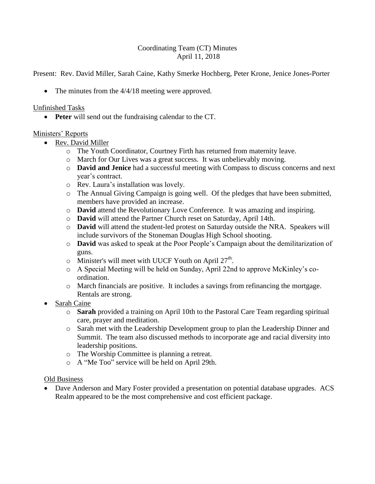## Coordinating Team (CT) Minutes April 11, 2018

Present: Rev. David Miller, Sarah Caine, Kathy Smerke Hochberg, Peter Krone, Jenice Jones-Porter

• The minutes from the  $4/4/18$  meeting were approved.

## Unfinished Tasks

**Peter** will send out the fundraising calendar to the CT.

# Ministers' Reports

- Rev. David Miller
	- o The Youth Coordinator, Courtney Firth has returned from maternity leave.
	- o March for Our Lives was a great success. It was unbelievably moving.
	- o **David and Jenice** had a successful meeting with Compass to discuss concerns and next year's contract.
	- o Rev. Laura's installation was lovely.
	- o The Annual Giving Campaign is going well. Of the pledges that have been submitted, members have provided an increase.
	- o **David** attend the Revolutionary Love Conference. It was amazing and inspiring.
	- o **David** will attend the Partner Church reset on Saturday, April 14th.
	- o **David** will attend the student-led protest on Saturday outside the NRA. Speakers will include survivors of the Stoneman Douglas High School shooting.
	- o **David** was asked to speak at the Poor People's Campaign about the demilitarization of guns.
	- $\circ$  Minister's will meet with UUCF Youth on April 27<sup>th</sup>.
	- o A Special Meeting will be held on Sunday, April 22nd to approve McKinley's coordination.
	- o March financials are positive. It includes a savings from refinancing the mortgage. Rentals are strong.
- Sarah Caine
	- o **Sarah** provided a training on April 10th to the Pastoral Care Team regarding spiritual care, prayer and meditation.
	- o Sarah met with the Leadership Development group to plan the Leadership Dinner and Summit. The team also discussed methods to incorporate age and racial diversity into leadership positions.
	- o The Worship Committee is planning a retreat.
	- o A "Me Too" service will be held on April 29th.

## Old Business

• Dave Anderson and Mary Foster provided a presentation on potential database upgrades. ACS Realm appeared to be the most comprehensive and cost efficient package.